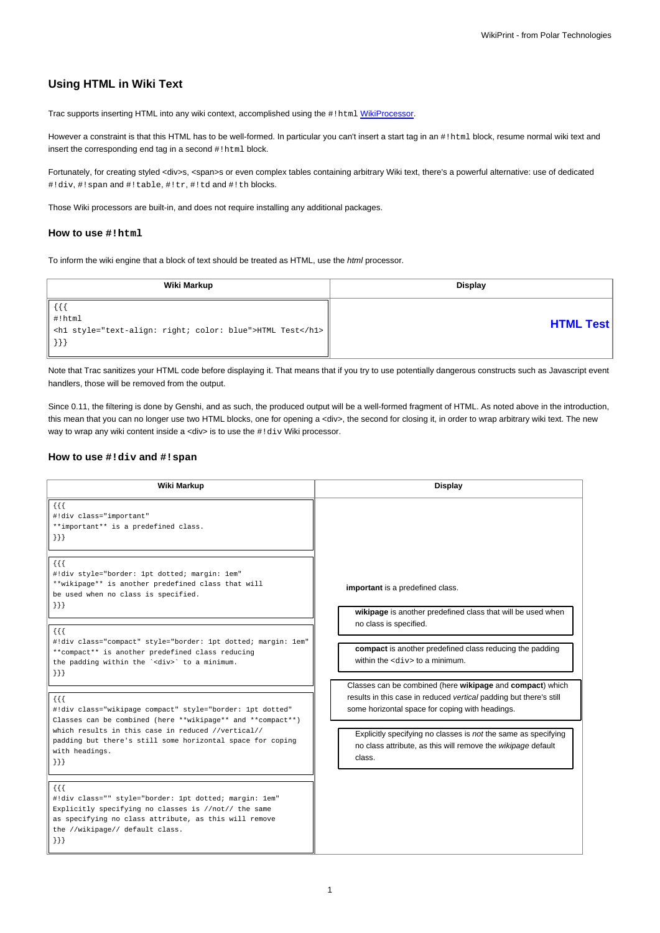# **Using HTML in Wiki Text**

Trac supports inserting HTML into any wiki context, accomplished using the #!html [WikiProcessor](https://meteo.unican.es/trac/wiki/WikiProcessors).

However a constraint is that this HTML has to be well-formed. In particular you can't insert a start tag in an #!html block, resume normal wiki text and insert the corresponding end tag in a second #!html block.

Fortunately, for creating styled <div>s, <span>s or even complex tables containing arbitrary Wiki text, there's a powerful alternative: use of dedicated #!div, #!span and #!table, #!tr, #!td and #!th blocks.

Those Wiki processors are built-in, and does not require installing any additional packages.

### **How to use #!html**

To inform the wiki engine that a block of text should be treated as HTML, use the html processor.

| Wiki Markup                                                                                                    | Display          |
|----------------------------------------------------------------------------------------------------------------|------------------|
| {{{<br>$\parallel$ #!html<br>  <h1 style="text-align: right; color: blue">HTML Test</h1>  <br>$\vert\vert$ }}] | <b>HTML Test</b> |

Note that Trac sanitizes your HTML code before displaying it. That means that if you try to use potentially dangerous constructs such as Javascript event handlers, those will be removed from the output.

Since 0.11, the filtering is done by Genshi, and as such, the produced output will be a well-formed fragment of HTML. As noted above in the introduction, this mean that you can no longer use two HTML blocks, one for opening a <div>, the second for closing it, in order to wrap arbitrary wiki text. The new way to wrap any wiki content inside a <div> is to use the #!div Wiki processor.

### **How to use #!div and #!span**

| Wiki Markup                                                                                                                                                                                                                                                                                                                                                                                                                                                                                                                                                                                                                                                                                                                                                                                                                                                                                                                                                                                                                                                     | <b>Display</b>                                                                                                                                                                                                                                                                                                                                                                                                                                                                                                                                               |
|-----------------------------------------------------------------------------------------------------------------------------------------------------------------------------------------------------------------------------------------------------------------------------------------------------------------------------------------------------------------------------------------------------------------------------------------------------------------------------------------------------------------------------------------------------------------------------------------------------------------------------------------------------------------------------------------------------------------------------------------------------------------------------------------------------------------------------------------------------------------------------------------------------------------------------------------------------------------------------------------------------------------------------------------------------------------|--------------------------------------------------------------------------------------------------------------------------------------------------------------------------------------------------------------------------------------------------------------------------------------------------------------------------------------------------------------------------------------------------------------------------------------------------------------------------------------------------------------------------------------------------------------|
| $\{\{\}\}\$<br>#!div class="important"<br>**important** is a predefined class.<br>$\{\}$<br>$\{ \}$<br>#!div style="border: 1pt dotted; margin: 1em"<br>**wikipage** is another predefined class that will<br>be used when no class is specified.<br>$\{\}$<br>$\{ \}$<br>#!div class="compact" style="border: 1pt dotted; margin: 1em"<br>**compact** is another predefined class reducing<br>the padding within the ' <div>' to a minimum.<br/><math>\{\}</math><br/><math>\{\{\}\}\</math><br/>#!div class="wikipage compact" style="border: 1pt dotted"<br/>Classes can be combined (here **wikipage** and **compact**)<br/>which results in this case in reduced //vertical//<br/>padding but there's still some horizontal space for coping<br/>with headings.<br/><math>\{\}</math><br/><math>\{ \}</math><br/>#!div class="" style="border: 1pt dotted; margin: 1em"<br/>Explicitly specifying no classes is //not// the same<br/>as specifying no class attribute, as this will remove<br/>the //wikipage// default class.<br/><math>\{\}</math></div> | important is a predefined class.<br>wikipage is another predefined class that will be used when<br>no class is specified.<br>compact is another predefined class reducing the padding<br>within the $<$ div> to a minimum.<br>Classes can be combined (here wikipage and compact) which<br>results in this case in reduced vertical padding but there's still<br>some horizontal space for coping with headings.<br>Explicitly specifying no classes is not the same as specifying<br>no class attribute, as this will remove the wikipage default<br>class. |
|                                                                                                                                                                                                                                                                                                                                                                                                                                                                                                                                                                                                                                                                                                                                                                                                                                                                                                                                                                                                                                                                 |                                                                                                                                                                                                                                                                                                                                                                                                                                                                                                                                                              |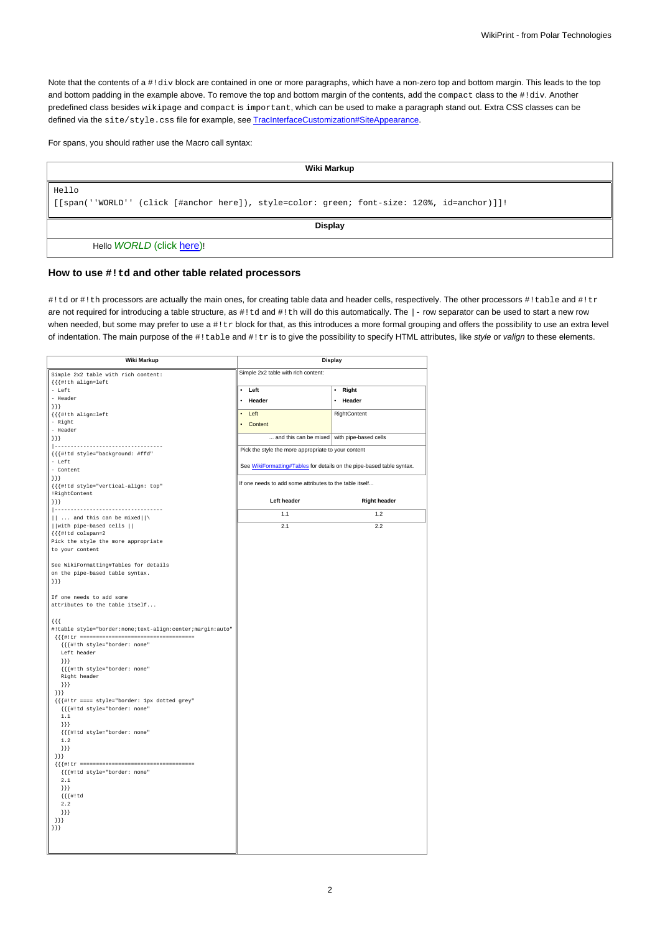Note that the contents of a #!div block are contained in one or more paragraphs, which have a non-zero top and bottom margin. This leads to the top and bottom padding in the example above. To remove the top and bottom margin of the contents, add the compact class to the #!div. Another predefined class besides wikipage and compact is important, which can be used to make a paragraph stand out. Extra CSS classes can be defined via the site/style.css file for example, see [TracInterfaceCustomization#SiteAppearance.](https://meteo.unican.es/trac/wiki/TracInterfaceCustomization#SiteAppearance)

For spans, you should rather use the Macro call syntax:

| Wiki Markup                                                                                           |  |
|-------------------------------------------------------------------------------------------------------|--|
| Hello<br>[[[span(''WORLD'' (click [#anchor here]), style=color: green; font-size: 120%, id=anchor)]]! |  |
| <b>Display</b>                                                                                        |  |
| Hello WORLD (click here)!                                                                             |  |

## **How to use #!td and other table related processors**

#!td or #!th processors are actually the main ones, for creating table data and header cells, respectively. The other processors #!table and #!tr are not required for introducing a table structure, as #!td and #!th will do this automatically. The |- row separator can be used to start a new row when needed, but some may prefer to use a #!tr block for that, as this introduces a more formal grouping and offers the possibility to use an extra level of indentation. The main purpose of the #!table and #!tr is to give the possibility to specify HTML attributes, like style or valign to these elements.

| <b>Wiki Markup</b>                                        |                                                                       | <b>Display</b>      |
|-----------------------------------------------------------|-----------------------------------------------------------------------|---------------------|
| Simple 2x2 table with rich content:                       | Simple 2x2 table with rich content:                                   |                     |
| $\{\{\{\#! \, \text{th align=left}\}\}\}$                 |                                                                       |                     |
| - Left                                                    | • Left                                                                | Right<br>$\bullet$  |
| - Header                                                  | • Header                                                              | • Header            |
| $\{\}$                                                    |                                                                       |                     |
| $\{\{\{\#! \text{th align=left} \} \} \}$                 | $\bullet$ Left                                                        | RightContent        |
| - Right<br>- Header                                       | • Content                                                             |                     |
| $\{\}$ }                                                  | and this can be mixed with pipe-based cells                           |                     |
| ----------------------------------                        |                                                                       |                     |
| {{{#!td style="background: #ffd"                          | Pick the style the more appropriate to your content                   |                     |
| - Left                                                    | See WikiFormatting#Tables for details on the pipe-based table syntax. |                     |
| - Content                                                 |                                                                       |                     |
| ${}_{\{\}\}}$                                             | If one needs to add some attributes to the table itself               |                     |
| {{{#!td style="vertical-align: top"<br>!RightContent      |                                                                       |                     |
| $\{\}$                                                    | Left header                                                           | <b>Right header</b> |
| -----------------------------------                       |                                                                       |                     |
| $  $ and this can be mixed $   \setminus$                 | 1.1                                                                   | 1.2                 |
| with pipe-based cells                                     | 2.1                                                                   | 2.2                 |
| {{{#!td colspan=2                                         |                                                                       |                     |
| Pick the style the more appropriate                       |                                                                       |                     |
| to your content                                           |                                                                       |                     |
|                                                           |                                                                       |                     |
| See WikiFormatting#Tables for details                     |                                                                       |                     |
| on the pipe-based table syntax.<br>${}_{\{\}\}}$          |                                                                       |                     |
|                                                           |                                                                       |                     |
| If one needs to add some                                  |                                                                       |                     |
| attributes to the table itself                            |                                                                       |                     |
|                                                           |                                                                       |                     |
| $\{ \{ \}$                                                |                                                                       |                     |
| #!table style="border:none;text-align:center;margin:auto" |                                                                       |                     |
|                                                           |                                                                       |                     |
| {{{#!th style="border: none"<br>Left header               |                                                                       |                     |
| ${}_{\}$ }}                                               |                                                                       |                     |
| {{{#!th style="border: none"                              |                                                                       |                     |
| Right header                                              |                                                                       |                     |
| ${}^{11}$                                                 |                                                                       |                     |
| ${}}$                                                     |                                                                       |                     |
| {{{#!tr ==== style="border: lpx dotted grey"              |                                                                       |                     |
| {{{#!td style="border: none"<br>$1\,.1$                   |                                                                       |                     |
| $\{\}$ }                                                  |                                                                       |                     |
| {{{#!td style="border: none"                              |                                                                       |                     |
| 1.2                                                       |                                                                       |                     |
| ${}$ }}}                                                  |                                                                       |                     |
| ${}}$                                                     |                                                                       |                     |
|                                                           |                                                                       |                     |
| {{{#!td style="border: none"                              |                                                                       |                     |
| 2.1<br>$\{\}$ }                                           |                                                                       |                     |
| ${ {\{ \} \# ! \} d}$                                     |                                                                       |                     |
| 2.2                                                       |                                                                       |                     |
| $\{\}$ }                                                  |                                                                       |                     |
| $\{\}$                                                    |                                                                       |                     |
| $\}$ }                                                    |                                                                       |                     |
|                                                           |                                                                       |                     |
|                                                           |                                                                       |                     |